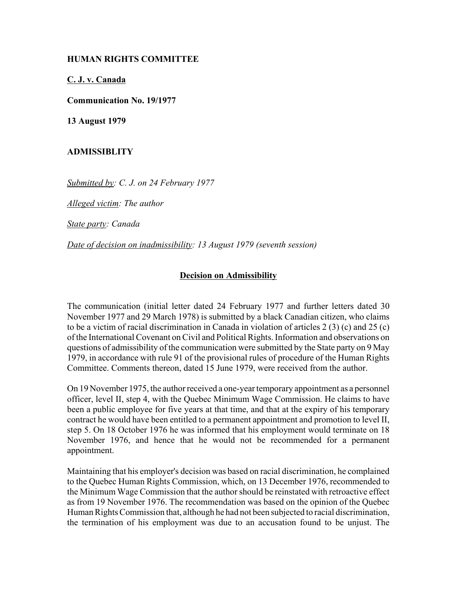## **HUMAN RIGHTS COMMITTEE**

**C. J. v. Canada**

**Communication No. 19/1977**

**13 August 1979**

## **ADMISSIBLITY**

*Submitted by: C. J. on 24 February 1977* 

*Alleged victim: The author* 

*State party: Canada* 

*Date of decision on inadmissibility: 13 August 1979 (seventh session)* 

## **Decision on Admissibility**

The communication (initial letter dated 24 February 1977 and further letters dated 30 November 1977 and 29 March 1978) is submitted by a black Canadian citizen, who claims to be a victim of racial discrimination in Canada in violation of articles 2 (3) (c) and 25 (c) of the International Covenant on Civil and Political Rights. Information and observations on questions of admissibility of the communication were submitted by the State party on 9 May 1979, in accordance with rule 91 of the provisional rules of procedure of the Human Rights Committee. Comments thereon, dated 15 June 1979, were received from the author.

On 19 November 1975, the author received a one-year temporary appointment as a personnel officer, level II, step 4, with the Quebec Minimum Wage Commission. He claims to have been a public employee for five years at that time, and that at the expiry of his temporary contract he would have been entitled to a permanent appointment and promotion to level II, step 5. On 18 October 1976 he was informed that his employment would terminate on 18 November 1976, and hence that he would not be recommended for a permanent appointment.

Maintaining that his employer's decision was based on racial discrimination, he complained to the Quebec Human Rights Commission, which, on 13 December 1976, recommended to the Minimum Wage Commission that the author should be reinstated with retroactive effect as from 19 November 1976. The recommendation was based on the opinion of the Quebec Human Rights Commission that, although he had not been subjected to racial discrimination, the termination of his employment was due to an accusation found to be unjust. The